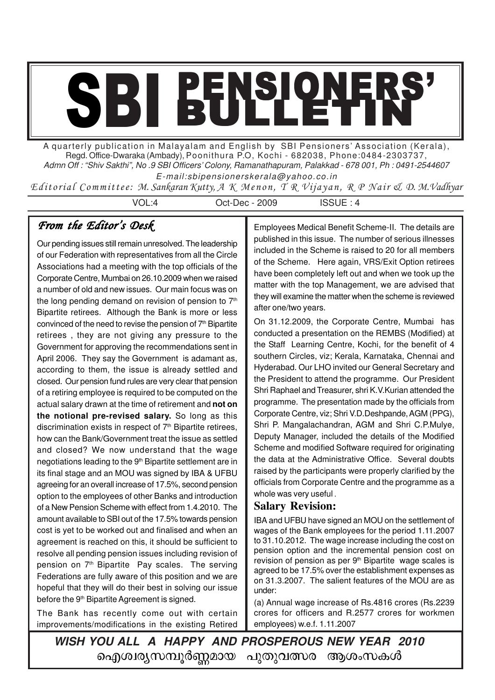# SBI BULLETIN'

A quarterly publication in Malayalam and English by SBI Pensioners' Association (Kerala), Regd. Office-Dwaraka (Ambady), Poonithura P.O, Kochi - 682038, Phone:0484-2303737, Admn Off : "Shiv Sakthi", No .9 SBI Officers' Colony, Ramanathapuram, Palakkad - 678 001, Ph : 0491-2544607 E-mail:sbipensionerskerala@yahoo.co.in

Editorial Committee: M. Sankaran Kutty, A K Menon, T R Vijayan, R P Nair & D. M.Vadhyar

VOL:4 Oct-Dec - 2009 ISSUE : 4

# From the Editor's Desk

Our pending issues still remain unresolved. The leadership of our Federation with representatives from all the Circle Associations had a meeting with the top officials of the Corporate Centre, Mumbai on 26.10.2009 when we raised a number of old and new issues. Our main focus was on the long pending demand on revision of pension to  $7<sup>th</sup>$ Bipartite retirees. Although the Bank is more or less convinced of the need to revise the pension of 7<sup>th</sup> Bipartite retirees , they are not giving any pressure to the Government for approving the recommendations sent in April 2006. They say the Government is adamant as, according to them, the issue is already settled and closed. Our pension fund rules are very clear that pension of a retiring employee is required to be computed on the actual salary drawn at the time of retirement and **not on the notional pre-revised salary.** So long as this discrimination exists in respect of  $7<sup>th</sup>$  Bipartite retirees, how can the Bank/Government treat the issue as settled and closed? We now understand that the wage negotiations leading to the 9<sup>th</sup> Bipartite settlement are in its final stage and an MOU was signed by IBA & UFBU agreeing for an overall increase of 17.5%, second pension option to the employees of other Banks and introduction of a New Pension Scheme with effect from 1.4.2010. The amount available to SBI out of the 17.5% towards pension cost is yet to be worked out and finalised and when an agreement is reached on this, it should be sufficient to resolve all pending pension issues including revision of pension on 7<sup>th</sup> Bipartite Pay scales. The serving Federations are fully aware of this position and we are hopeful that they will do their best in solving our issue before the 9<sup>th</sup> Bipartite Agreement is signed.

The Bank has recently come out with certain improvements/modifications in the existing Retired Employees Medical Benefit Scheme-II. The details are published in this issue. The number of serious illnesses included in the Scheme is raised to 20 for all members of the Scheme. Here again, VRS/Exit Option retirees have been completely left out and when we took up the matter with the top Management, we are advised that they will examine the matter when the scheme is reviewed after one/two years.

On 31.12.2009, the Corporate Centre, Mumbai has conducted a presentation on the REMBS (Modified) at the Staff Learning Centre, Kochi, for the benefit of 4 southern Circles, viz; Kerala, Karnataka, Chennai and Hyderabad. Our LHO invited our General Secretary and the President to attend the programme. Our President Shri Raphael and Treasurer, shri K.V.Kurian attended the programme. The presentation made by the officials from Corporate Centre, viz; Shri V.D.Deshpande, AGM (PPG), Shri P. Mangalachandran, AGM and Shri C.P.Mulye, Deputy Manager, included the details of the Modified Scheme and modified Software required for originating the data at the Administrative Office. Several doubts raised by the participants were properly clarified by the officials from Corporate Centre and the programme as a whole was very useful .

## **Salary Revision:**

IBA and UFBU have signed an MOU on the settlement of wages of the Bank employees for the period 1.11.2007 to 31.10.2012. The wage increase including the cost on pension option and the incremental pension cost on revision of pension as per 9<sup>th</sup> Bipartite wage scales is agreed to be 17.5% over the establishment expenses as on 31.3.2007. The salient features of the MOU are as under:

(a) Annual wage increase of Rs.4816 crores (Rs.2239 crores for officers and R.2577 crores for workmen employees) w.e.f. 1.11.2007

**WISH YOU ALL A HAPPY AND PROSPEROUS NEW YEAR 2010** ഐശ്വര്യസമ്പൂർണ്ണമായ പുതുവത്സര ആശംസകൾ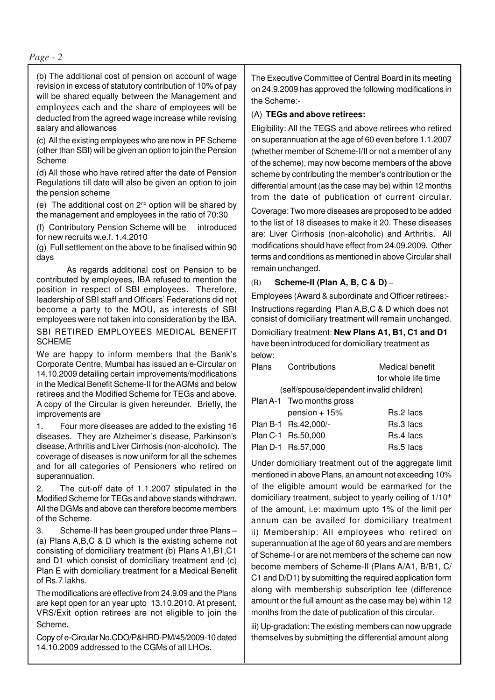(b) The additional cost of pension on account of wage revision in excess of statutory contribution of 10% of pay will be shared equally between the Management and employees each and the share of employees will be deducted from the agreed wage increase while revising salary and allowances

(c) All the existing employees who are now in PF Scheme (other than SBI) will be given an option to join the Pension Scheme

(d) All those who have retired after the date of Pension Regulations till date will also be given an option to join the pension scheme

(e) The additional cost on 2nd option will be shared by the management and employees in the ratio of 70:30

(f) Contributory Pension Scheme will be introduced for new recruits w.e.f. 1.4.2010

(g) Full settlement on the above to be finalised within 90 days

 As regards additional cost on Pension to be contributed by employees, IBA refused to mention the position in respect of SBI employees. Therefore, leadership of SBI staff and Officers' Federations did not become a party to the MOU, as interests of SBI employees were not taken into consideration by the IBA.

SBI RETIRED EMPLOYEES MEDICAL BENEFIT **SCHEME** 

We are happy to inform members that the Bank's Corporate Centre, Mumbai has issued an e-Circular on 14.10.2009 detailing certain improvements/modifications in the Medical Benefit Scheme-II for the AGMs and below retirees and the Modified Scheme for TEGs and above. A copy of the Circular is given hereunder. Briefly, the improvements are

1. Four more diseases are added to the existing 16 diseases. They are Alzheimer's disease, Parkinson's disease, Arthritis and Liver Cirrhosis (non-alcoholic). The coverage of diseases is now uniform for all the schemes and for all categories of Pensioners who retired on superannuation.

2. The cut-off date of 1.1.2007 stipulated in the Modified Scheme for TEGs and above stands withdrawn. All the DGMs and above can therefore become members of the Scheme.

3. Scheme-II has been grouped under three Plans – (a) Plans A,B,C & D which is the existing scheme not consisting of domiciliary treatment (b) Plans A1,B1,C1 and D1 which consist of domiciliary treatment and (c) Plan E with domiciliary treatment for a Medical Benefit of Rs.7 lakhs.

The modifications are effective from 24.9.09 and the Plans are kept open for an year upto 13.10.2010. At present, VRS/Exit option retirees are not eligible to join the Scheme.

Copy of e-Circular No.CDO/P&HRD-PM/45/2009-10 dated 14.10.2009 addressed to the CGMs of all LHOs.

The Executive Committee of Central Board in its meeting on 24.9.2009 has approved the following modifications in the Scheme:-

#### (A) **TEGs and above retirees:**

Eligibility: All the TEGS and above retirees who retired on superannuation at the age of 60 even before 1.1.2007 (whether member of Scheme-I/II or not a member of any of the scheme), may now become members of the above scheme by contributing the member's contribution or the differential amount (as the case may be) within 12 months from the date of publication of current circular.

Coverage: Two more diseases are proposed to be added to the list of 18 diseases to make it 20. These diseases are: Liver Cirrhosis (non-alcoholic) and Arthritis. All modifications should have effect from 24.09.2009. Other terms and conditions as mentioned in above Circular shall remain unchanged.

#### (B) **Scheme-II (Plan A, B, C & D)** –

Employees (Award & subordinate and Officer retirees:- Instructions regarding Plan A,B,C & D which does not consist of domiciliary treatment will remain unchanged.

Domiciliary treatment: **New Plans A1, B1, C1 and D1** have been introduced for domiciliary treatment as below:

| Plans | Contributions                            | Medical benefit<br>for whole life time |
|-------|------------------------------------------|----------------------------------------|
|       | (self/spouse/dependent invalid children) |                                        |
|       | Plan A-1 Two months gross                |                                        |
|       | pension $+15%$                           | Rs.2 lacs                              |
|       | Plan B-1 Rs.42,000/-                     | Rs.3 lacs                              |
|       | Plan C-1 Rs.50,000                       | Rs.4 lacs                              |
|       | Plan D-1 Rs.57,000                       | Rs.5 lacs                              |

Under domiciliary treatment out of the aggregate limit mentioned in above Plans, an amount not exceeding 10% of the eligible amount would be earmarked for the domiciliary treatment, subject to yearly ceiling of 1/10<sup>th</sup> of the amount, i.e: maximum upto 1% of the limit per annum can be availed for domiciliary treatment ii) Membership: All employees who retired on superannuation at the age of 60 years and are members of Scheme-I or are not members of the scheme can now become members of Scheme-II (Plans A/A1, B/B1, C/ C1 and D/D1) by submitting the required application form along with membership subscription fee (difference amount or the full amount as the case may be) within 12 months from the date of publication of this circular.

iii) Up-gradation: The existing members can now upgrade themselves by submitting the differential amount along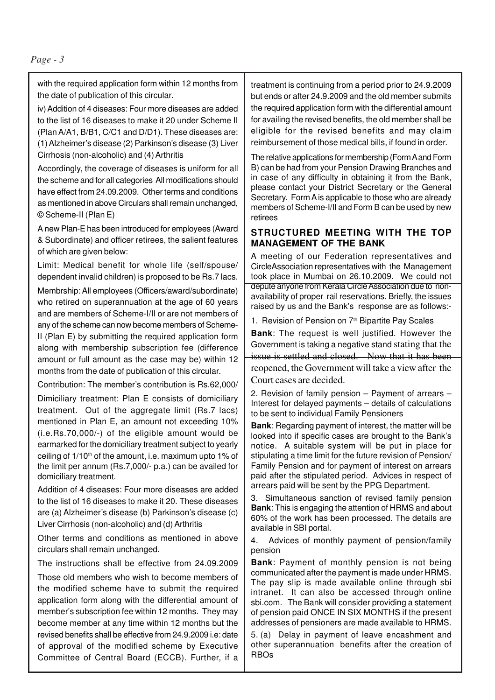with the required application form within 12 months from the date of publication of this circular.

iv) Addition of 4 diseases: Four more diseases are added to the list of 16 diseases to make it 20 under Scheme II (Plan A/A1, B/B1, C/C1 and D/D1). These diseases are: (1) Alzheimer's disease (2) Parkinson's disease (3) Liver Cirrhosis (non-alcoholic) and (4) Arthritis

Accordingly, the coverage of diseases is uniform for all the scheme and for all categories All modifications should have effect from 24.09.2009. Other terms and conditions as mentioned in above Circulars shall remain unchanged, © Scheme-II (Plan E)

A new Plan-E has been introduced for employees (Award & Subordinate) and officer retirees, the salient features of which are given below:

Limit: Medical benefit for whole life (self/spouse/ dependent invalid children) is proposed to be Rs.7 lacs.

Membrship: All employees (Officers/award/subordinate) who retired on superannuation at the age of 60 years and are members of Scheme-I/II or are not members of any of the scheme can now become members of Scheme-II (Plan E) by submitting the required application form along with membership subscription fee (difference amount or full amount as the case may be) within 12 months from the date of publication of this circular.

Contribution: The member's contribution is Rs.62,000/ Dimiciliary treatment: Plan E consists of domiciliary treatment. Out of the aggregate limit (Rs.7 lacs) mentioned in Plan E, an amount not exceeding 10% (i.e.Rs.70,000/-) of the eligible amount would be earmarked for the domiciliary treatment subject to yearly ceiling of  $1/10<sup>th</sup>$  of the amount, i.e. maximum upto 1% of the limit per annum (Rs.7,000/- p.a.) can be availed for domiciliary treatment.

Addition of 4 diseases: Four more diseases are added to the list of 16 diseases to make it 20. These diseases are (a) Alzheimer's disease (b) Parkinson's disease (c) Liver Cirrhosis (non-alcoholic) and (d) Arthritis

Other terms and conditions as mentioned in above circulars shall remain unchanged.

The instructions shall be effective from 24.09.2009

Those old members who wish to become members of the modified scheme have to submit the required application form along with the differential amount of member's subscription fee within 12 months. They may become member at any time within 12 months but the revised benefits shall be effective from 24.9.2009 i.e: date of approval of the modified scheme by Executive Committee of Central Board (ECCB). Further, if a

treatment is continuing from a period prior to 24.9.2009 but ends or after 24.9.2009 and the old member submits the required application form with the differential amount for availing the revised benefits, the old member shall be eligible for the revised benefits and may claim reimbursement of those medical bills, if found in order.

The relative applications for membership (Form A and Form B) can be had from your Pension Drawing Branches and in case of any difficulty in obtaining it from the Bank, please contact your District Secretary or the General Secretary. Form A is applicable to those who are already members of Scheme-I/II and Form B can be used by new retirees

#### **STRUCTURED MEETING WITH THE TOP MANAGEMENT OF THE BANK**

A meeting of our Federation representatives and CircleAssociation representatives with the Management took place in Mumbai on 26.10.2009. We could not depute anyone from Kerala Circle Association due to nonavailability of proper rail reservations. Briefly, the issues raised by us and the Bank's response are as follows:-

1. Revision of Pension on 7<sup>th</sup> Bipartite Pay Scales

**Bank:** The request is well justified. However the Government is taking a negative stand stating that the issue is settled and closed. Now that it has been reopened, the Government will take a view after the Court cases are decided.

2. Revision of family pension – Payment of arrears – Interest for delayed payments – details of calculations to be sent to individual Family Pensioners

**Bank**: Regarding payment of interest, the matter will be looked into if specific cases are brought to the Bank's notice. A suitable system will be put in place for stipulating a time limit for the future revision of Pension/ Family Pension and for payment of interest on arrears paid after the stipulated period. Advices in respect of arrears paid will be sent by the PPG Department.

3. Simultaneous sanction of revised family pension **Bank**: This is engaging the attention of HRMS and about 60% of the work has been processed. The details are available in SBI portal.

4. Advices of monthly payment of pension/family pension

**Bank**: Payment of monthly pension is not being communicated after the payment is made under HRMS. The pay slip is made available online through sbi intranet. It can also be accessed through online sbi.com. The Bank will consider providing a statement of pension paid ONCE IN SIX MONTHS if the present addresses of pensioners are made available to HRMS.

5. (a) Delay in payment of leave encashment and other superannuation benefits after the creation of RBOs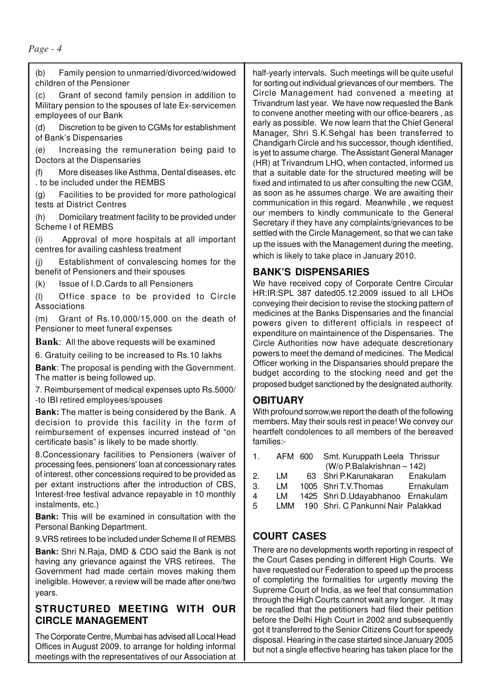(b) Family pension to unmarried/divorced/widowed children of the Pensioner

(c) Grant of second family pension in addition to Military pension to the spouses of late Ex-servicemen employees of our Bank

(d) Discretion to be given to CGMs for establishment of Bank's Dispensaries

(e) Increasing the remuneration being paid to Doctors at the Dispensaries

More diseases like Asthma, Dental diseases, etc. . to be included under the REMBS

(g) Facilities to be provided for more pathological tests at District Centres

(h) Domicilary treatment facility to be provided under Scheme I of REMBS

(i) Approval of more hospitals at all important centres for availing cashless treatment

(j) Establishment of convalescing homes for the benefit of Pensioners and their spouses

(k) Issue of I.D.Cards to all Pensioners

(l) Office space to be provided to Circle Associations

(m) Grant of Rs.10,000/15,000 on the death of Pensioner to meet funeral expenses

**Bank**: All the above requests will be examined

6. Gratuity ceiling to be increased to Rs.10 lakhs

**Bank**: The proposal is pending with the Government. The matter is being followed up.

7. Reimbursement of medical expenses upto Rs.5000/ -to IBI retired employees/spouses

**Bank:** The matter is being considered by the Bank. A decision to provide this facility in the form of reimbursement of expenses incurred instead of "on certificate basis" is likely to be made shortly.

8.Concessionary facilities to Pensioners (waiver of processing fees, pensioners' loan at concessionary rates of interest, other concessions required to be provided as per extant instructions after the introduction of CBS, Interest-free festival advance repayable in 10 monthly instalments, etc.)

**Bank:** This will be examined in consultation with the Personal Banking Department.

9.VRS retirees to be included under Scheme II of REMBS

**Bank:** Shri N.Raja, DMD & CDO said the Bank is not having any grievance against the VRS retirees. The Government had made certain moves making them ineligible. However, a review will be made after one/two years.

# **STRUCTURED MEETING WITH OUR CIRCLE MANAGEMENT**

The Corporate Centre, Mumbai has advised all Local Head Offices in August 2009, to arrange for holding informal meetings with the representatives of our Association at

half-yearly intervals. Such meetings will be quite useful for sorting out individual grievances of our members. The Circle Management had convened a meeting at Trivandrum last year. We have now requested the Bank to convene another meeting with our office-bearers , as early as possible. We now learn that the Chief General Manager, Shri S.K.Sehgal has been transferred to Chandigarh Circle and his successor, though identified, is yet to assume charge. The Assistant General Manager (HR) at Trivandrum LHO, when contacted, informed us that a suitable date for the structured meeting will be fixed and intimated to us after consulting the new CGM, as soon as he assumes charge. We are awaiting their communication in this regard. Meanwhile , we request our members to kindly communicate to the General Secretary if they have any complaints/grievances to be settled with the Circle Management, so that we can take up the issues with the Management during the meeting, which is likely to take place in January 2010.

#### **BANK'S DISPENSARIES**

We have received copy of Corporate Centre Circular HR:IR:SPL 387 dated05.12.2009 issued to all LHOs conveying their decision to revise the stocking pattern of medicines at the Banks Dispensaries and the financial powers given to different officials in respeect of expenditure on maintainence of the Dispensaries. The Circle Authorities now have adequate descretionary powers to meet the demand of medicines. The Medical Officer working in the Dispansaries should prepare the budget according to the stocking need and get the proposed budget sanctioned by the designated authority.

#### **OBITUARY**

With profound sorrow,we report the death of the following members. May their souls rest in peace! We convey our heartfelt condolences to all members of the bereaved families:-

| $1_{-}$               |     | AFM 600 Smt. Kuruppath Leela Thrissur |           |
|-----------------------|-----|---------------------------------------|-----------|
|                       |     | (W/o P.Balakrishnan - 142)            |           |
| 2.                    | LM  | 63 Shri P.Karunakaran                 | Enakulam  |
| $\mathcal{B}_{\cdot}$ | LM  | 1005 Shri T.V. Thomas                 | Ernakulam |
| 4                     | LM  | 1425 Shri D.Udayabhanoo Ernakulam     |           |
| .5                    | LMM | 190 Shri. C Pankunni Nair Palakkad    |           |

#### **COURT CASES**

There are no developments worth reporting in respect of the Court Cases pending in different High Courts. We have requested our Federation to speed up the process of completing the formalities for urgently moving the Supreme Court of India, as we feel that consummation through the High Courts cannot wait any longer. .It may be recalled that the petitioners had filed their petition before the Delhi High Court in 2002 and subsequently got it transferred to the Senior Citizens Court for speedy disposal. Hearing in the case started since January 2005 but not a single effective hearing has taken place for the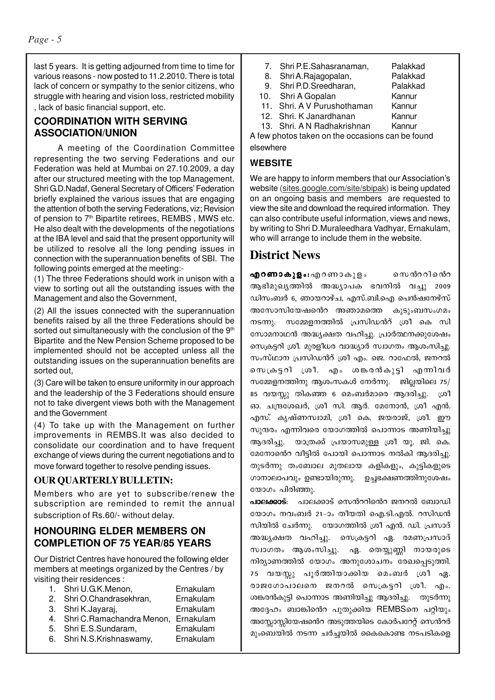last 5 years. It is getting adjourned from time to time for various reasons - now posted to 11.2.2010. There is total lack of concern or sympathy to the senior citizens, who struggle with hearing and vision loss, restricted mobility , lack of basic financial support, etc.

## **COORDINATION WITH SERVING ASSOCIATION/UNION**

A meeting of the Coordination Committee representing the two serving Federations and our Federation was held at Mumbai on 27.10.2009, a day after our structured meeting with the top Management. Shri G.D.Nadaf, General Secretary of Officers' Federation briefly explained the various issues that are engaging the attention of both the serving Federations, viz; Revision of pension to  $7<sup>th</sup>$  Bipartite retirees, REMBS, MWS etc. He also dealt with the developments of the negotiations at the IBA level and said that the present opportunity will be utilized to resolve all the long pending issues in connection with the superannuation benefits of SBI. The following points emerged at the meeting:-

(1) The three Federations should work in unison with a view to sorting out all the outstanding issues with the Management and also the Government,

(2) All the issues connected with the superannuation benefits raised by all the three Federations should be sorted out simultaneously with the conclusion of the 9<sup>th</sup> Bipartite and the New Pension Scheme proposed to be implemented should not be accepted unless all the outstanding issues on the superannuation benefits are sorted out,

(3) Care will be taken to ensure uniformity in our approach and the leadership of the 3 Federations should ensure not to take divergent views both with the Management and the Government

(4) To take up with the Management on further improvements in REMBS.It was also decided to consolidate our coordination and to have frequent exchange of views during the current negotiations and to move forward together to resolve pending issues.

# **OUR QUARTERLY BULLETIN:**

Members who are yet to subscribe/renew the subscription are reminded to remit the annual subscription of Rs.60/- without delay.

## **HONOURING ELDER MEMBERS ON COMPLETION OF 75 YEAR/85 YEARS**

Our District Centres have honoured the following elder members at meetings organized by the Centres / by visiting their residences :

- 1. Shri U.G.K.Menon, Ernakulam
- 2. Shri O.Chandrasekhran, Ernakulam
- 3. Shri K.Jayaraj, Ernakulam
- 4. Shri C.Ramachandra Menon, Ernakulam
- 5. Shri E.S.Sundaram, Ernakulam
- 6. Shri N.S.Krishnaswamy, Ernakulam
- 7. Shri P.E.Sahasranaman, Palakkad
- 8. Shri A.Rajagopalan, Palakkad<br>9. Shri P.D.Sreedharan. Palakkad
- 9. Shri P.D.Sreedharan, Palakka<br>0. Shri A Gopalan Kannur
- 
- 10. Shri A Gopalan Kannur<br>11. Shri. A V Purushothaman Kannur 11. Shri. A V Purushothaman Kannur<br>12. Shri. K Janardhanan Kannur
- 12. Shri. K Janardhanan
- 13. Shri. A N Radhakrishnan Kannur

A few photos taken on the occasions can be found elsewhere

#### **WEBSITE**

We are happy to inform members that our Association's website (sites.google.com/site/sbipak) is being updated on an ongoing basis and members are requested to view the site and download the required information. They can also contribute useful information, views and news, by writing to Shri D.Muraleedhara Vadhyar, Ernakulam, who will arrange to include them in the website.

# **District News**

 $a$ ഹൃറണാകൂളം: എറണാകുളം സെൻററിന്റെ ആഭിമുഖൃത്തിൽ അദ്ധ്യാപക ഭവനിൽ വച്ചു 2009 ഡിസംബർ 6, ഞായറാഴ്ച, എസ്.ബി.ഐ പെൻഷനേഴ്സ് അസോസിയേഷൻെ അഞാമത്തെ കുടുംബസംഗമം നടന്നു. സമ്മേളനത്തിൽ പ്രസിഡൻറ് ശ്രീ കെ സി സോമനാഥൻ അദ്ധ്യക്ഷത വഹിച്ചു. പ്രാർത്ഥനക്കുശേഷം സെക്രട്ടറി ശ്രീ. മുരളീധര വാദ്ധ്യാർ സ്വാഗതം ആശംസിച്ചു. സംസ്ഥാന പ്രസിഡൻറ് ശ്രീ എം. ജെ. റാഫേൽ, ജനറൽ സെക്രട്ടറി ശ്രീ. എം ശങ്കരൻകുട്ടി എന്നിവർ സമ്മേളനത്തിനു ആശംസകൾ നേർന്നു. ജില്ലയിലെ  $75/$ 85 വയസ്സു തികഞ്ഞ 6 മെംബർമാരെ ആദരിച്ചു. ശ്രീ ഓ. ചന്ദ്രശേഖർ. ശ്രീ സി. അർ. മേനോൻ. ശ്രീ എൻ. എസ്. കൃഷ്ണസ്വാമി, ശ്രീ കെ. ജയരാജ്, ശ്രീ. ഈ സുന്ദരം എന്നിവരെ യോഗത്തിൽ പൊന്നാട അണിയിച്ചു ആദരിച്ചു. യാത്രക്ക് പ്രയാസമുള്ള ശ്രീ യു. ജി. കെ. മേനോൻെ വീട്ടിൽ പോയി പൊന്നാട നൽകി ആദരിച്ചു. തുടർന്നു തംബോല മുതലായ കളികളും, കുട്ടികളുടെ ഗാനാലാപവും ഉണ്ടായിരുന്നു. ഉച്ചഭക്ഷണത്തിനുശേഷം യോഗം പിരിഞ്ഞു.

പാലക്കാട്: പാലക്കാട് സെൻററിൻെറ ജനറൽ ബോഡി യോഗം നവംബർ 21–ാം തീയതി ഐ.ടി.എൽ. റസിഡൻ സിയിൽ ചേർന്നു. യോഗത്തിൽ ശ്രീ എൻ. ഡി. പ്രസാദ് അദ്ധ്യക്ഷത വഹിച്ചു. സെക്രട്ടറി ഏ. രമണപ്രസാദ് സ്വാഗതം ആശംസിച്ചു. ഏ. തെയ്യുണ്ണി നായരുടെ നിര്യാണത്തിൽ യോഗം അനുശോചനം രേഖപ്പെടുത്തി. 75 വയസ്സു പൂർത്തിയാക്കിയ മെംബർ ശ്രീ ഏ. രാജഗോപാലനെ ജനറൽ സെക്രട്ടറി ശ്രീ. എം. ശങ്കരൻകുട്ടി പൊന്നാട അണിയിച്ചു ആദരിച്ചു. തുടർന്നു അദ്ദേഹം ബാങ്കിന്റെ പുതുക്കിയ REMBSനെ പറ്റിയും അസ്സോസ്സിയേഷൻെ അടുത്തയിടെ കോർപറേറ്റ് സെൻറർ മുംബെയിൽ നടന്ന ചർച്ചയിൽ കൈകൊണ്ട നടപടികളെ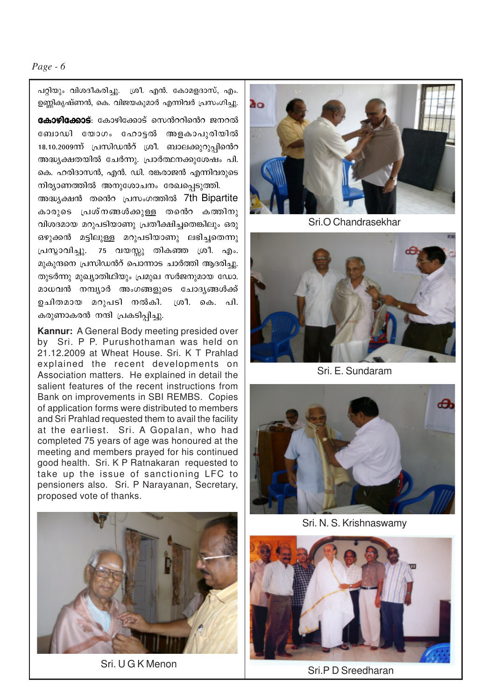പറ്റിയും വിശദീകരിച്ചു. ശ്രീ. എൻ. കോമളദാസ്, എം. ഉണ്ണികൃഷ്ണൻ, കെ. വിജയകുമാർ എന്നിവർ പ്രസംഗിച്ചു.

**കോഴിക്കോട്**: കോഴിക്കോട് സെൻററിൻെറ ജനറൽ ബോഡി യോഗം ഹോട്ടൽ അളകാപുരിയിൽ 18.10.2009ന്ന് പ്രസിഡൻറ് ശ്രീ. ബാലക്കുറുപ്പിൻെറ അദ്ധ്യക്ഷതയിൽ ചേർന്നു. പ്രാർത്ഥനക്കുശേഷം പി. കെ. ഹരിദാസൻ, എൻ. ഡി. രങ്കരാജൻ എന്നിവരുടെ നിര്യാണത്തിൽ അനുശോചനം രേഖപ്പെടുത്തി.

അദ്ധ്യക്ഷൻ തൻെ പ്രസംഗത്തിൽ 7th Bipartite കാരുടെ പ്രശ്നങ്ങൾക്കുള്ള തന്റെ കത്തിനു വിശദമായ മറുപടിയാണു പ്രതീക്ഷിച്ചതെങ്കിലും ഒരു ഒഴുക്കൻ മട്ടിലുള്ള മറുപടിയാണു ലഭിച്ചതെന്നു പ്രസ്താവിച്ചു. 75 വയസ്സു തികഞ്ഞ ശ്രീ. എം. മുകുന്ദനെ പ്രസിഡൻറ് പൊന്നാട ചാർത്തി ആദരിച്ചു. തുടർന്നു മുഖ്യാതിഥിയും പ്രമുഖ സർജനുമായ ഡോ. മാധവൻ നമ്പ്യാർ അംഗങ്ങളുടെ ചോദ്യങ്ങൾക്ക് ഉചിതമായ മറുപടി നൽകി. ശ്രീ. കെ. പി. കരുണാകരൻ നന്ദി പ്രകടിപ്പിച്ചു.

**Kannur:** A General Body meeting presided over by Sri. P P. Purushothaman was held on 21.12.2009 at Wheat House. Sri. K T Prahlad explained the recent developments on Association matters. He explained in detail the salient features of the recent instructions from Bank on improvements in SBI REMBS. Copies of application forms were distributed to members and Sri Prahlad requested them to avail the facility at the earliest. Sri. A Gopalan, who had completed 75 years of age was honoured at the meeting and members prayed for his continued good health. Sri. K P Ratnakaran requested to take up the issue of sanctioning LFC to pensioners also. Sri. P Narayanan, Secretary, proposed vote of thanks.



Sri. U G K Menon



Sri.O Chandrasekhar



Sri. E. Sundaram



Sri. N. S. Krishnaswamy



Sri.P D Sreedharan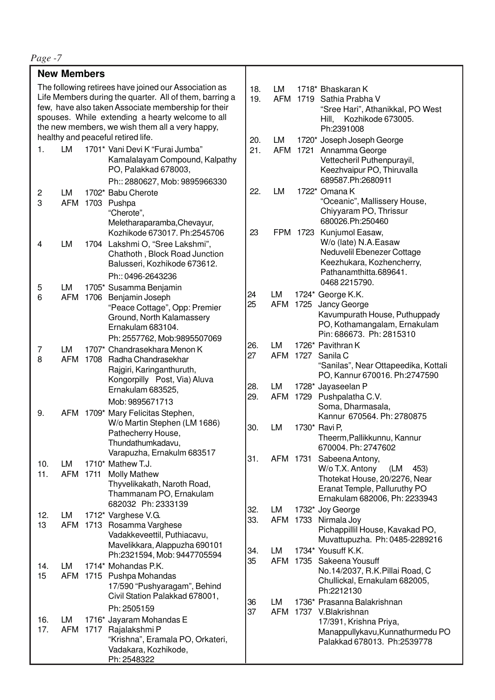| <b>New Members</b>                                                                                                                                                                                                                                                                                                   |                  |      |                                                                                                                                                       |                   |            |                                                                                                                                                             |                                                                                                                                                     |
|----------------------------------------------------------------------------------------------------------------------------------------------------------------------------------------------------------------------------------------------------------------------------------------------------------------------|------------------|------|-------------------------------------------------------------------------------------------------------------------------------------------------------|-------------------|------------|-------------------------------------------------------------------------------------------------------------------------------------------------------------|-----------------------------------------------------------------------------------------------------------------------------------------------------|
| The following retirees have joined our Association as<br>Life Members during the quarter. All of them, barring a<br>few, have also taken Associate membership for their<br>spouses. While extending a hearty welcome to all<br>the new members, we wish them all a very happy,<br>healthy and peaceful retired life. |                  |      | 18.<br>19.<br>20.                                                                                                                                     | LM<br>LM          |            | 1718* Bhaskaran K<br>AFM 1719 Sathia Prabha V<br>"Sree Hari", Athanikkal, PO West<br>Kozhikode 673005.<br>Hill,<br>Ph:2391008<br>1720* Joseph Joseph George |                                                                                                                                                     |
| 1.                                                                                                                                                                                                                                                                                                                   | LM               |      | 1701* Vani Devi K "Furai Jumba"<br>Kamalalayam Compound, Kalpathy<br>PO, Palakkad 678003,<br>Ph:: 2880627, Mob: 9895966330                            | 21.               | <b>AFM</b> |                                                                                                                                                             | 1721 Annamma George<br>Vettecheril Puthenpurayil,<br>Keezhvaipur PO, Thiruvalla<br>689587.Ph:2680911                                                |
| 2<br>3                                                                                                                                                                                                                                                                                                               | LM               |      | 1702* Babu Cherote<br>AFM 1703 Pushpa<br>"Cherote",<br>Meletharaparamba, Chevayur,                                                                    | 22.               | LM         |                                                                                                                                                             | 1722* Omana K<br>"Oceanic", Mallissery House,<br>Chiyyaram PO, Thrissur<br>680026.Ph:250460                                                         |
| 4                                                                                                                                                                                                                                                                                                                    | LM               |      | Kozhikode 673017. Ph:2545706<br>1704 Lakshmi O, "Sree Lakshmi",<br>Chathoth, Block Road Junction<br>Balusseri, Kozhikode 673612.<br>Ph:: 0496-2643236 | 23                |            | FPM 1723                                                                                                                                                    | Kunjumol Easaw,<br>W/o (late) N.A. Easaw<br>Neduvelil Ebenezer Cottage<br>Keezhukara, Kozhencherry,<br>Pathanamthitta.689641.                       |
| 5                                                                                                                                                                                                                                                                                                                    | LM               |      | 1705* Susamma Benjamin                                                                                                                                |                   |            |                                                                                                                                                             | 0468 2215790.                                                                                                                                       |
| 6                                                                                                                                                                                                                                                                                                                    | <b>AFM</b>       |      | 1706 Benjamin Joseph<br>"Peace Cottage", Opp: Premier<br>Ground, North Kalamassery<br>Ernakulam 683104.                                               | 24<br>25          | LM<br>AFM  | 1725                                                                                                                                                        | 1724* George K.K.<br>Jancy George<br>Kavumpurath House, Puthuppady<br>PO, Kothamangalam, Ernakulam<br>Pin: 686673. Ph: 2815310                      |
| 7<br>8                                                                                                                                                                                                                                                                                                               | LM<br><b>AFM</b> |      | Ph: 2557762, Mob:9895507069<br>1707* Chandrasekhara Menon K<br>1708 Radha Chandrasekhar<br>Rajgiri, Karinganthuruth,<br>Kongorpilly Post, Via) Aluva  | 26.<br>27         | LM<br>AFM  |                                                                                                                                                             | 1726* Pavithran K<br>1727 Sanila C<br>"Sanilas", Near Ottapeedika, Kottali<br>PO, Kannur 670016. Ph:2747590                                         |
| 9.                                                                                                                                                                                                                                                                                                                   |                  |      | Ernakulam 683525,<br>Mob: 9895671713<br>AFM 1709* Mary Felicitas Stephen,                                                                             | 28.<br>29.        | LM<br>AFM  |                                                                                                                                                             | 1728* Jayaseelan P<br>1729 Pushpalatha C.V.<br>Soma, Dharmasala,<br>Kannur 670564. Ph: 2780875                                                      |
|                                                                                                                                                                                                                                                                                                                      |                  |      | W/o Martin Stephen (LM 1686)<br>Pathecherry House,<br>Thundathumkadavu,<br>Varapuzha, Ernakulm 683517                                                 | 30.               | LM         |                                                                                                                                                             | 1730* Ravi P,<br>Theerm, Pallikkunnu, Kannur<br>670004. Ph: 2747602                                                                                 |
| 10.<br>11.                                                                                                                                                                                                                                                                                                           | LM<br><b>AFM</b> | 1711 | 1710* Mathew T.J.<br><b>Molly Mathew</b><br>Thyvelikakath, Naroth Road,<br>Thammanam PO, Ernakulam<br>682032 Ph: 2333139                              | 31.               | AFM 1731   |                                                                                                                                                             | Sabeena Antony,<br>W/o T.X. Antony<br>(LM<br>453)<br>Thotekat House, 20/2276, Near<br>Eranat Temple, Palluruthy PO<br>Ernakulam 682006, Ph: 2233943 |
| 12.<br>13                                                                                                                                                                                                                                                                                                            | LM<br>AFM        |      | 1712* Varghese V.G.<br>1713 Rosamma Varghese<br>Vadakkeveettil, Puthiacavu,<br>Mavelikkara, Alappuzha 690101                                          | 32.<br>33.<br>34. | LM<br>LM   |                                                                                                                                                             | 1732* Joy George<br>AFM 1733 Nirmala Joy<br>Pichappillil House, Kavakad PO,<br>Muvattupuzha. Ph: 0485-2289216<br>1734* Yousuff K.K.                 |
| 14.<br>15                                                                                                                                                                                                                                                                                                            | LM<br>AFM        |      | Ph:2321594, Mob: 9447705594<br>1714* Mohandas P.K.<br>1715 Pushpa Mohandas<br>17/590 "Pushyaragam", Behind<br>Civil Station Palakkad 678001,          | 35                | AFM        | 1735                                                                                                                                                        | Sakeena Yousuff<br>No.14/2037, R.K.Pillai Road, C<br>Chullickal, Ernakulam 682005,<br>Ph:2212130                                                    |
| 16.<br>17.                                                                                                                                                                                                                                                                                                           | LM<br>AFM        |      | Ph: 2505159<br>1716* Jayaram Mohandas E<br>1717 Rajalakshmi P<br>"Krishna", Eramala PO, Orkateri,<br>Vadakara, Kozhikode,<br>Ph: 2548322              | 36<br>37          | LM         |                                                                                                                                                             | 1736* Prasanna Balakrishnan<br>AFM 1737 V.Blakrishnan<br>17/391, Krishna Priya,<br>Manappullykavu, Kunnathurmedu PO<br>Palakkad 678013. Ph:2539778  |